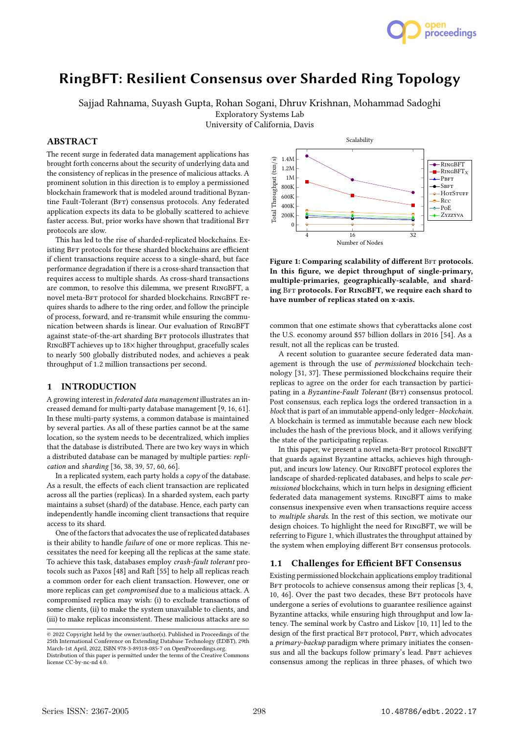

# RingBFT: Resilient Consensus over Sharded Ring Topology

Sajjad Rahnama, Suyash Gupta, Rohan Sogani, Dhruv Krishnan, Mohammad Sadoghi

Exploratory Systems Lab

University of California, Davis

# ABSTRACT

The recent surge in federated data management applications has brought forth concerns about the security of underlying data and the consistency of replicas in the presence of malicious attacks. A prominent solution in this direction is to employ a permissioned blockchain framework that is modeled around traditional Byzantine Fault-Tolerant (BFT) consensus protocols. Any federated application expects its data to be globally scattered to achieve faster access. But, prior works have shown that traditional BFT protocols are slow.

This has led to the rise of sharded-replicated blockchains. Existing BFT protocols for these sharded blockchains are efficient if client transactions require access to a single-shard, but face performance degradation if there is a cross-shard transaction that requires access to multiple shards. As cross-shard transactions are common, to resolve this dilemma, we present RingBFT, a novel meta-BFT protocol for sharded blockchains. RINGBFT requires shards to adhere to the ring order, and follow the principle of process, forward, and re-transmit while ensuring the communication between shards is linear. Our evaluation of RingBFT against state-of-the-art sharding BFT protocols illustrates that RingBFT achieves up to 18× higher throughput, gracefully scales to nearly 500 globally distributed nodes, and achieves a peak throughput of 1.2 million transactions per second.

## 1 INTRODUCTION

A growing interest in federated data management illustrates an increased demand for multi-party database management [9, 16, 61]. In these multi-party systems, a common database is maintained by several parties. As all of these parties cannot be at the same location, so the system needs to be decentralized, which implies that the database is distributed. There are two key ways in which a distributed database can be managed by multiple parties: replication and sharding [36, 38, 39, 57, 60, 66].

In a replicated system, each party holds a copy of the database. As a result, the effects of each client transaction are replicated across all the parties (replicas). In a sharded system, each party maintains a subset (shard) of the database. Hence, each party can independently handle incoming client transactions that require access to its shard.

One of the factors that advocates the use of replicated databases is their ability to handle failure of one or more replicas. This necessitates the need for keeping all the replicas at the same state. To achieve this task, databases employ crash-fault tolerant protocols such as Paxos [48] and Raft [55] to help all replicas reach a common order for each client transaction. However, one or more replicas can get compromised due to a malicious attack. A compromised replica may wish: (i) to exclude transactions of some clients, (ii) to make the system unavailable to clients, and (iii) to make replicas inconsistent. These malicious attacks are so



Figure 1: Comparing scalability of different BFT protocols. In this figure, we depict throughput of single-primary, multiple-primaries, geographically-scalable, and sharding BFT protocols. For RINGBFT, we require each shard to have number of replicas stated on x-axis.

common that one estimate shows that cyberattacks alone cost the U.S. economy around \$57 billion dollars in 2016 [54]. As a result, not all the replicas can be trusted.

A recent solution to guarantee secure federated data management is through the use of permissioned blockchain technology [31, 37]. These permissioned blockchains require their replicas to agree on the order for each transaction by participating in a Byzantine-Fault Tolerant (BFT) consensus protocol. Post consensus, each replica logs the ordered transaction in a block that is part of an immutable append-only ledger–blockchain. A blockchain is termed as immutable because each new block includes the hash of the previous block, and it allows verifying the state of the participating replicas.

In this paper, we present a novel meta-BFT protocol RINGBFT that guards against Byzantine attacks, achieves high throughput, and incurs low latency. Our RingBFT protocol explores the landscape of sharded-replicated databases, and helps to scale permissioned blockchains, which in turn helps in designing efficient federated data management systems. RingBFT aims to make consensus inexpensive even when transactions require access to multiple shards. In the rest of this section, we motivate our design choices. To highlight the need for RingBFT, we will be referring to Figure 1, which illustrates the throughput attained by the system when employing different BFT consensus protocols.

#### 1.1 Challenges for Efficient BFT Consensus

Existing permissioned blockchain applications employ traditional BFT protocols to achieve consensus among their replicas [3, 4, 10, 46]. Over the past two decades, these BFT protocols have undergone a series of evolutions to guarantee resilience against Byzantine attacks, while ensuring high throughput and low latency. The seminal work by Castro and Liskov [10, 11] led to the design of the first practical BFT protocol, PBFT, which advocates a primary-backup paradigm where primary initiates the consensus and all the backups follow primary's lead. PBFT achieves consensus among the replicas in three phases, of which two

<sup>©</sup> 2022 Copyright held by the owner/author(s). Published in Proceedings of the 25th International Conference on Extending Database Technology (EDBT), 29th March-1st April, 2022, ISBN 978-3-89318-085-7 on OpenProceedings.org.

Distribution of this paper is permitted under the terms of the Creative Commons license CC-by-nc-nd 4.0.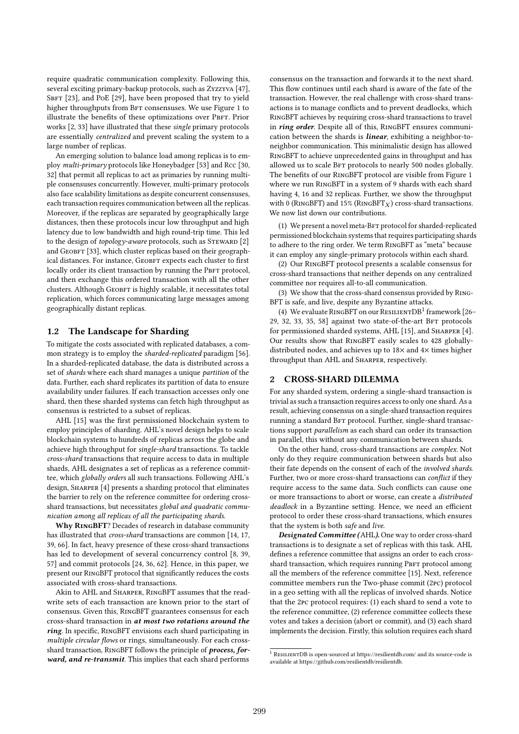require quadratic communication complexity. Following this, several exciting primary-backup protocols, such as Zyzzyva [47], SBFT [23], and PoE [29], have been proposed that try to yield higher throughputs from BFT consensuses. We use Figure 1 to illustrate the benefits of these optimizations over PBFT. Prior works [2, 33] have illustrated that these single primary protocols are essentially centralized and prevent scaling the system to a large number of replicas.

An emerging solution to balance load among replicas is to employ multi-primary protocols like Honeybadger [53] and Rcc [30, 32] that permit all replicas to act as primaries by running multiple consensuses concurrently. However, multi-primary protocols also face scalability limitations as despite concurrent consensuses, each transaction requires communication between all the replicas. Moreover, if the replicas are separated by geographically large distances, then these protocols incur low throughput and high latency due to low bandwidth and high round-trip time. This led to the design of topology-aware protocols, such as STEWARD [2] and GEOBFT [33], which cluster replicas based on their geographical distances. For instance, GEOBFT expects each cluster to first locally order its client transaction by running the PBFT protocol, and then exchange this ordered transaction with all the other clusters. Although GEOBFT is highly scalable, it necessitates total replication, which forces communicating large messages among geographically distant replicas.

## 1.2 The Landscape for Sharding

To mitigate the costs associated with replicated databases, a common strategy is to employ the sharded-replicated paradigm [56]. In a sharded-replicated database, the data is distributed across a set of shards where each shard manages a unique partition of the data. Further, each shard replicates its partition of data to ensure availability under failures. If each transaction accesses only one shard, then these sharded systems can fetch high throughput as consensus is restricted to a subset of replicas.

AHL [15] was the first permissioned blockchain system to employ principles of sharding. AHL's novel design helps to scale blockchain systems to hundreds of replicas across the globe and achieve high throughput for single-shard transactions. To tackle cross-shard transactions that require access to data in multiple shards, AHL designates a set of replicas as a reference committee, which globally orders all such transactions. Following AHL's design, SHARPER [4] presents a sharding protocol that eliminates the barrier to rely on the reference committee for ordering crossshard transactions, but necessitates global and quadratic communication among all replicas of all the participating shards.

Why RingBFT? Decades of research in database community has illustrated that cross-shard transactions are common [14, 17, 39, 66]. In fact, heavy presence of these cross-shard transactions has led to development of several concurrency control [8, 39, 57] and commit protocols [24, 36, 62]. Hence, in this paper, we present our RingBFT protocol that significantly reduces the costs associated with cross-shard transactions.

Akin to AHL and Sharper, RingBFT assumes that the readwrite sets of each transaction are known prior to the start of consensus. Given this, RingBFT guarantees consensus for each cross-shard transaction in at most two rotations around the ring. In specific, RingBFT envisions each shard participating in multiple circular flows or rings, simultaneously. For each crossshard transaction, RINGBFT follows the principle of *process, for*ward, and re-transmit. This implies that each shard performs

consensus on the transaction and forwards it to the next shard. This flow continues until each shard is aware of the fate of the transaction. However, the real challenge with cross-shard transactions is to manage conflicts and to prevent deadlocks, which RingBFT achieves by requiring cross-shard transactions to travel in ring order. Despite all of this, RINGBFT ensures communication between the shards is *linear*, exhibiting a neighbor-toneighbor communication. This minimalistic design has allowed RingBFT to achieve unprecedented gains in throughput and has allowed us to scale BFT protocols to nearly 500 nodes globally. The benefits of our RingBFT protocol are visible from Figure 1 where we run RingBFT in a system of 9 shards with each shard having 4, 16 and 32 replicas. Further, we show the throughput with 0 (RINGBFT) and 15% (RINGBFT<sub>X</sub>) cross-shard transactions. We now list down our contributions.

(1) We present a novel meta-BFT protocol for sharded-replicated permissioned blockchain systems that requires participating shards to adhere to the ring order. We term RingBFT as "meta" because it can employ any single-primary protocols within each shard.

(2) Our RingBFT protocol presents a scalable consensus for cross-shard transactions that neither depends on any centralized committee nor requires all-to-all communication.

(3) We show that the cross-shard consensus provided by Ring-BFT is safe, and live, despite any Byzantine attacks.

(4) We evaluate RINGBFT on our RESILIENTDB<sup>1</sup> framework [26-29, 32, 33, 35, 58] against two state-of-the-art BFT protocols for permissioned sharded systems, AHL [15], and SHARPER [4]. Our results show that RingBFT easily scales to 428 globallydistributed nodes, and achieves up to 18× and 4× times higher throughput than AHL and Sharper, respectively.

## 2 CROSS-SHARD DILEMMA

For any sharded system, ordering a single-shard transaction is trivial as such a transaction requires access to only one shard. As a result, achieving consensus on a single-shard transaction requires running a standard BFT protocol. Further, single-shard transactions support parallelism as each shard can order its transaction in parallel, this without any communication between shards.

On the other hand, cross-shard transactions are complex. Not only do they require communication between shards but also their fate depends on the consent of each of the involved shards. Further, two or more cross-shard transactions can conflict if they require access to the same data. Such conflicts can cause one or more transactions to abort or worse, can create a distributed deadlock in a Byzantine setting. Hence, we need an efficient protocol to order these cross-shard transactions, which ensures that the system is both safe and live.

Designated Committee (AHL). One way to order cross-shard transactions is to designate a set of replicas with this task. AHL defines a reference committee that assigns an order to each crossshard transaction, which requires running PBFT protocol among all the members of the reference committee [15]. Next, reference committee members run the Two-phase commit (2pc) protocol in a geo setting with all the replicas of involved shards. Notice that the 2pc protocol requires: (1) each shard to send a vote to the reference committee, (2) reference committee collects these votes and takes a decision (abort or commit), and (3) each shard implements the decision. Firstly, this solution requires each shard

 $\overline{1}$  RESILIENTDB is open-sourced at https://resilientdb.com/ and its source-code is available at https://github.com/resilientdb/resilientdb.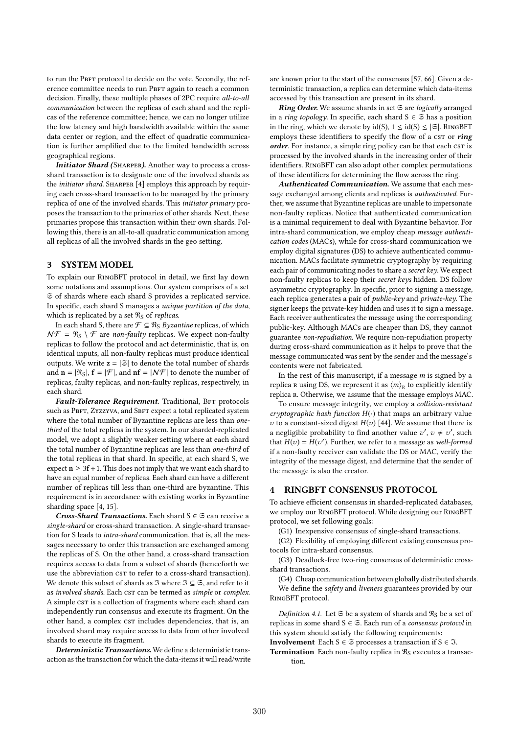to run the PBFT protocol to decide on the vote. Secondly, the reference committee needs to run PBFT again to reach a common decision. Finally, these multiple phases of 2PC require all-to-all communication between the replicas of each shard and the replicas of the reference committee; hence, we can no longer utilize the low latency and high bandwidth available within the same data center or region, and the effect of quadratic communication is further amplified due to the limited bandwidth across geographical regions.

Initiator Shard (SHARPER). Another way to process a crossshard transaction is to designate one of the involved shards as the initiator shard. SHARPER [4] employs this approach by requiring each cross-shard transaction to be managed by the primary replica of one of the involved shards. This initiator primary proposes the transaction to the primaries of other shards. Next, these primaries propose this transaction within their own shards. Following this, there is an all-to-all quadratic communication among all replicas of all the involved shards in the geo setting.

# 3 SYSTEM MODEL

To explain our RingBFT protocol in detail, we first lay down some notations and assumptions. Our system comprises of a set S of shards where each shard S provides a replicated service. In specific, each shard S manages a unique partition of the data, which is replicated by a set  $\Re$ <sub>S</sub> of *replicas*.

In each shard S, there are  $\mathcal{F} \subseteq \Re_S$  *Byzantine* replicas, of which  $N\mathcal{F} = \Re_S \setminus \mathcal{F}$  are non-faulty replicas. We expect non-faulty replicas to follow the protocol and act deterministic, that is, on identical inputs, all non-faulty replicas must produce identical outputs. We write  $z = |\mathfrak{S}|$  to denote the total number of shards and  $\mathbf{n} = [\Re_s], \mathbf{f} = [\mathcal{F}],$  and  $\mathbf{n} \mathbf{f} = [\mathcal{N}\mathcal{F}]$  to denote the number of replicas, faulty replicas, and non-faulty replicas, respectively, in each shard.

Fault-Tolerance Requirement. Traditional, BFT protocols such as PBFT, ZYZZYVA, and SBFT expect a total replicated system where the total number of Byzantine replicas are less than onethird of the total replicas in the system. In our sharded-replicated model, we adopt a slightly weaker setting where at each shard the total number of Byzantine replicas are less than one-third of the total replicas in that shard. In specific, at each shard S, we expect  $n \geq 3f + 1$ . This does not imply that we want each shard to have an equal number of replicas. Each shard can have a different number of replicas till less than one-third are byzantine. This requirement is in accordance with existing works in Byzantine sharding space [4, 15].

Cross-Shard Transactions. Each shard  $S \in \mathfrak{S}$  can receive a single-shard or cross-shard transaction. A single-shard transaction for S leads to intra-shard communication, that is, all the messages necessary to order this transaction are exchanged among the replicas of S. On the other hand, a cross-shard transaction requires access to data from a subset of shards (henceforth we use the abbreviation cst to refer to a cross-shard transaction). We denote this subset of shards as  $\Im$  where  $\Im \subseteq \mathfrak{S}$  , and refer to it as involved shards. Each cst can be termed as simple or complex. A simple CST is a collection of fragments where each shard can independently run consensus and execute its fragment. On the other hand, a complex  $c$ st includes dependencies, that is, an involved shard may require access to data from other involved shards to execute its fragment.

Deterministic Transactions. We define a deterministic transaction as the transaction for which the data-items it will read/write are known prior to the start of the consensus [57, 66]. Given a deterministic transaction, a replica can determine which data-items accessed by this transaction are present in its shard.

**Ring Order.** We assume shards in set  $\mathfrak{S}$  are *logically* arranged in a *ring topology*. In specific, each shard  $S \in \mathfrak{S}$  has a position in the ring, which we denote by  $id(S)$ ,  $1 \leq id(S) \leq |\mathfrak{S}|$ . RINGBFT employs these identifiers to specify the flow of a CST or ring order. For instance, a simple ring policy can be that each cst is processed by the involved shards in the increasing order of their identifiers. RingBFT can also adopt other complex permutations of these identifiers for determining the flow across the ring.

Authenticated Communication. We assume that each message exchanged among clients and replicas is authenticated. Further, we assume that Byzantine replicas are unable to impersonate non-faulty replicas. Notice that authenticated communication is a minimal requirement to deal with Byzantine behavior. For intra-shard communication, we employ cheap message authentication codes (MACs), while for cross-shard communication we employ digital signatures (DS) to achieve authenticated communication. MACs facilitate symmetric cryptography by requiring each pair of communicating nodes to share a secret key. We expect non-faulty replicas to keep their secret keys hidden. DS follow asymmetric cryptography. In specific, prior to signing a message, each replica generates a pair of public-key and private-key. The signer keeps the private-key hidden and uses it to sign a message. Each receiver authenticates the message using the corresponding public-key. Although MACs are cheaper than DS, they cannot guarantee non-repudiation. We require non-repudiation property during cross-shard communication as it helps to prove that the message communicated was sent by the sender and the message's contents were not fabricated.

In the rest of this manuscript, if a message  $m$  is signed by a replica R using DS, we represent it as  $\langle m \rangle_R$  to explicitly identify replica r. Otherwise, we assume that the message employs MAC.

To ensure message integrity, we employ a collision-resistant cryptographic hash function  $H(\cdot)$  that maps an arbitrary value v to a constant-sized digest  $H(v)$  [44]. We assume that there is a negligible probability to find another value  $v', v \neq v'$ , such that  $H(v) = H(v')$ . Eurther we refer to a message as well-formed that  $H(v) = H(v')$ . Further, we refer to a message as well-formed<br>if a non-faulty receiver can validate the DS or MAC verify the if a non-faulty receiver can validate the DS or MAC, verify the integrity of the message digest, and determine that the sender of the message is also the creator.

## 4 RINGBFT CONSENSUS PROTOCOL

To achieve efficient consensus in sharded-replicated databases, we employ our RingBFT protocol. While designing our RingBFT protocol, we set following goals:

(G1) Inexpensive consensus of single-shard transactions.

(G2) Flexibility of employing different existing consensus protocols for intra-shard consensus.

(G3) Deadlock-free two-ring consensus of deterministic crossshard transactions.

(G4) Cheap communication between globally distributed shards. We define the safety and liveness guarantees provided by our RingBFT protocol.

Definition 4.1. Let  $\mathfrak S$  be a system of shards and  $\mathfrak R_S$  be a set of replicas in some shard  $S \in \mathfrak{S}$ . Each run of a *consensus protocol* in this system should satisfy the following requirements:

**Involvement** Each  $S \in \mathfrak{S}$  processes a transaction if  $S \in \mathfrak{I}$ .

**Termination** Each non-faulty replica in  $\Re$ <sub>S</sub> executes a transaction.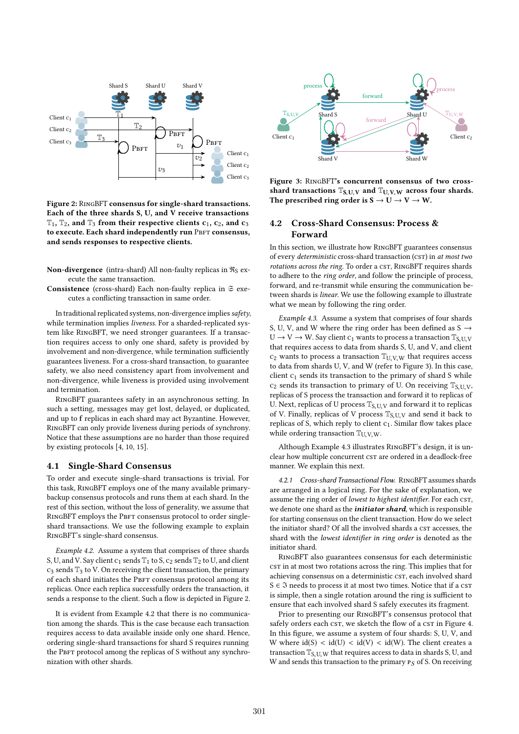

Figure 2: RingBFT consensus for single-shard transactions. Each of the three shards S, U, and V receive transactions  $T_1$ ,  $T_2$ , and  $T_3$  from their respective clients  $c_1$ ,  $c_2$ , and  $c_3$ to execute. Each shard independently run PBFT consensus, and sends responses to respective clients.

- Non-divergence (intra-shard) All non-faulty replicas in  $\Re s$  execute the same transaction.
- Consistence (cross-shard) Each non-faulty replica in  $\Im$  executes a conflicting transaction in same order.

In traditional replicated systems, non-divergence implies safety, while termination implies liveness. For a sharded-replicated system like RingBFT, we need stronger guarantees. If a transaction requires access to only one shard, safety is provided by involvement and non-divergence, while termination sufficiently guarantees liveness. For a cross-shard transaction, to guarantee safety, we also need consistency apart from involvement and non-divergence, while liveness is provided using involvement and termination.

RingBFT guarantees safety in an asynchronous setting. In such a setting, messages may get lost, delayed, or duplicated, and up to f replicas in each shard may act Byzantine. However, RingBFT can only provide liveness during periods of synchrony. Notice that these assumptions are no harder than those required by existing protocols [4, 10, 15].

## 4.1 Single-Shard Consensus

To order and execute single-shard transactions is trivial. For this task, RingBFT employs one of the many available primarybackup consensus protocols and runs them at each shard. In the rest of this section, without the loss of generality, we assume that RINGBFT employs the PBFT consensus protocol to order singleshard transactions. We use the following example to explain RingBFT's single-shard consensus.

Example 4.2. Assume a system that comprises of three shards S, U, and V. Say client  $c_1$  sends  $T_1$  to S,  $c_2$  sends  $T_2$  to U, and client  $c_3$  sends  $\mathbb{T}_3$  to V. On receiving the client transaction, the primary of each shard initiates the PBFT consensus protocol among its replicas. Once each replica successfully orders the transaction, it sends a response to the client. Such a flow is depicted in Figure 2.

It is evident from Example 4.2 that there is no communication among the shards. This is the case because each transaction requires access to data available inside only one shard. Hence, ordering single-shard transactions for shard S requires running the PBFT protocol among the replicas of S without any synchronization with other shards.



Figure 3: RingBFT's concurrent consensus of two crossshard transactions  $T_{S, U, V}$  and  $T_{U, V, W}$  across four shards. The prescribed ring order is  $S \to U \to V \to W$ .

# 4.2 Cross-Shard Consensus: Process & Forward

In this section, we illustrate how RingBFT guarantees consensus of every *deterministic* cross-shard transaction (csT) in at most two rotations across the ring. To order a CST, RINGBFT requires shards to adhere to the ring order, and follow the principle of process, forward, and re-transmit while ensuring the communication between shards is linear. We use the following example to illustrate what we mean by following the ring order.

Example 4.3. Assume a system that comprises of four shards S, U, V, and W where the ring order has been defined as S  $\rightarrow$  $U \rightarrow V \rightarrow W$ . Say client  $c_1$  wants to process a transaction  $\mathbb{T}_{S,U,V}$ that requires access to data from shards S, U, and V, and client  $c_2$  wants to process a transaction  $T_{U,V,W}$  that requires access to data from shards U, V, and W (refer to Figure 3). In this case, client  $c_1$  sends its transaction to the primary of shard S while  $c_2$  sends its transaction to primary of U. On receiving  $T_{S, U, V}$ , replicas of S process the transaction and forward it to replicas of U. Next, replicas of U process  $\mathbb{T}_{S, U, V}$  and forward it to replicas of V. Finally, replicas of V process  $\mathbb{T}_{S,U,V}$  and send it back to replicas of S, which reply to client c1. Similar flow takes place while ordering transaction  $T_{U, V, W}$ .

Although Example 4.3 illustrates RingBFT's design, it is unclear how multiple concurrent cst are ordered in a deadlock-free manner. We explain this next.

4.2.1 Cross-shard Transactional Flow. RingBFT assumes shards are arranged in a logical ring. For the sake of explanation, we assume the ring order of lowest to highest identifier. For each csr, we denote one shard as the *initiator shard*, which is responsible for starting consensus on the client transaction. How do we select the initiator shard? Of all the involved shards a CST accesses, the shard with the lowest identifier in ring order is denoted as the initiator shard.

RingBFT also guarantees consensus for each deterministic cst in at most two rotations across the ring. This implies that for achieving consensus on a deterministic csT, each involved shard S  $\in$  3 needs to process it at most two times. Notice that if a cst is simple, then a single rotation around the ring is sufficient to ensure that each involved shard S safely executes its fragment.

Prior to presenting our RingBFT's consensus protocol that safely orders each cst, we sketch the flow of a cst in Figure 4. In this figure, we assume a system of four shards: S, U, V, and W where  $\text{id}(S) < \text{id}(U) < \text{id}(V) < \text{id}(W)$ . The client creates a transaction  $T_{S, U, W}$  that requires access to data in shards S, U, and W and sends this transaction to the primary  $P_S$  of S. On receiving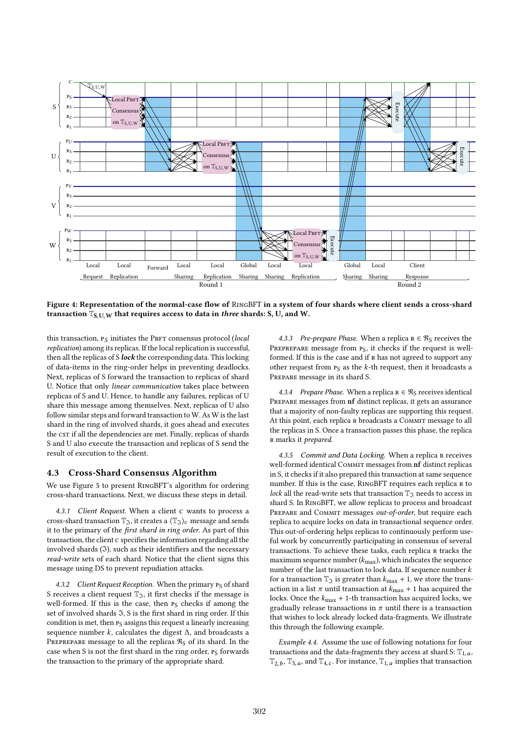

Figure 4: Representation of the normal-case flow of RingBFT in a system of four shards where client sends a cross-shard transaction  $T_{S, U, W}$  that requires access to data in three shards: S, U, and W.

this transaction,  $P_S$  initiates the PBFT consensus protocol (local replication) among its replicas. If the local replication is successful, then all the replicas of S lock the corresponding data. This locking of data-items in the ring-order helps in preventing deadlocks. Next, replicas of S forward the transaction to replicas of shard U. Notice that only linear communication takes place between replicas of S and U. Hence, to handle any failures, replicas of U share this message among themselves. Next, replicas of U also follow similar steps and forward transaction to W. As W is the last shard in the ring of involved shards, it goes ahead and executes the cst if all the dependencies are met. Finally, replicas of shards S and U also execute the transaction and replicas of S send the result of execution to the client.

## 4.3 Cross-Shard Consensus Algorithm

We use Figure 5 to present RingBFT's algorithm for ordering cross-shard transactions. Next, we discuss these steps in detail.

4.3.1 Client Request. When a client c wants to process a cross-shard transaction  $\mathbb{T}_\mathfrak{I}$ , it creates a  $\langle \mathbb{T}_\mathfrak{I} \rangle_c$  message and sends it to the primary of the first shard in ring order. As part of this transaction, the client c specifies the information regarding all the involved shards  $(3)$ , such as their identifiers and the necessary read-write sets of each shard. Notice that the client signs this message using DS to prevent repudiation attacks.

4.3.2 Client Request Reception. When the primary  $P_S$  of shard S receives a client request  $\mathbb{T}_3$ , it first checks if the message is well-formed. If this is the case, then PS checks if among the set of involved shards  $\mathfrak{I}, S$  is the first shard in ring order. If this condition is met, then  $P_S$  assigns this request a linearly increasing sequence number  $k$ , calculates the digest  $\Delta$ , and broadcasts a PREPREPARE message to all the replicas  $\Re_S$  of its shard. In the case when S is not the first shard in the ring order, PS forwards the transaction to the primary of the appropriate shard.

4.3.3 Pre-prepare Phase. When a replica  $R \in \Re_S$  receives the PREPREPARE message from P<sub>S</sub>, it checks if the request is wellformed. If this is the case and if  $R$  has not agreed to support any other request from  $P_S$  as the k-th request, then it broadcasts a Prepare message in its shard S.

4.3.4 Prepare Phase. When a replica  $R \in \Re S$  receives identical Prepare messages from nf distinct replicas, it gets an assurance that a majority of non-faulty replicas are supporting this request. At this point, each replica R broadcasts a COMMIT message to all the replicas in S. Once a transaction passes this phase, the replica r marks it prepared.

4.3.5 Commit and Data Locking. When a replica R receives well-formed identical COMMIT messages from nf distinct replicas in S, it checks if it also prepared this transaction at same sequence number. If this is the case, RINGBFT requires each replica R to lock all the read-write sets that transaction  $\mathbb{T}_{\mathfrak{T}}$  needs to access in shard S. In RingBFT, we allow replicas to process and broadcast PREPARE and COMMIT messages out-of-order, but require each replica to acquire locks on data in transactional sequence order. This out-of-ordering helps replicas to continuously perform useful work by concurrently participating in consensus of several transactions. To achieve these tasks, each replica r tracks the maximum sequence number  $(k_{\text{max}})$ , which indicates the sequence number of the last transaction to lock data. If sequence number  $k$ for a transaction  $\mathbb{T}_{\mathfrak{I}}$  is greater than  $k_{\text{max}} + 1$ , we store the transaction in a list  $\pi$  until transaction at  $k_{\text{max}} + 1$  has acquired the locks. Once the  $k_{\text{max}} + 1$ -th transaction has acquired locks, we gradually release transactions in  $\pi$  until there is a transaction that wishes to lock already locked data-fragments. We illustrate this through the following example.

Example 4.4. Assume the use of following notations for four transactions and the data-fragments they access at shard S:  $T_{1, a}$ ,  $\mathbb{T}_{2,b}$ ,  $\mathbb{T}_{3,a}$ , and  $\mathbb{T}_{4,c}$ . For instance,  $\mathbb{T}_{1,a}$  implies that transaction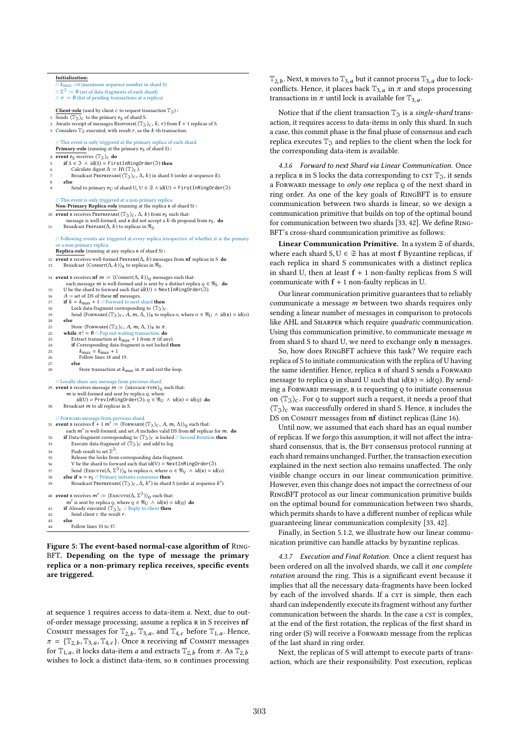```
Initialization:
       // k<sub>max</sub> :=0 (maximum sequence number in shard S)<br>
// \Sigma^3 := 0 (set of data-fragments of each shard)
       // Σ<sup>-3</sup> := 0 (set of data-fragments of each shard)<br>
// π := 0 (list of pending transactions at a replica)
      Client-role (used by client c to request transaction \mathbb{T}_{\mathfrak{I}}):
  1: Sends \langle \mathbb{T}_{\mathfrak{I}} \rangle_c to the primary P_S of shard S.
  2: Awaits receipt of messages RESPONSE(\langle \mathbb{T}_3 \rangle_c, k, r) from f + 1 replicas of S.
  3: Considers \mathbb{T}_3 executed, with result r, as the k-th transaction.
        // This event is only triggered at the primary replica of each shard.
      Primary-role (running at the primary P_S of shard S) :
      event PS receives \langle \mathbb{T}_\mathfrak{I} \rangle_c do
            if S ∈ \Im ∧ id(S) = FirstInRingOrder(\Im) then<br>Calculate digest \Delta := H(\langle \mathbb{T} \rangle_C).
  6: Calculate digest ∆ := H( ⟨T⟩c ).<br>7: Broadcast Рверевераве( ⟨T͡ʒ⟩c , ∆, k) in shard S (order at sequence k).<br>8: else
            else
                   Send to primary P_U of shard U, U \in \mathfrak{S} \wedge id(U) = \text{FirstInRingOrder}(\mathfrak{I})// This event is only triggered at a non-primary replication
      Non-Primary Replica-role (running at the replica R of shard S):
10: event R receives PREPREPARE(\langle \mathbb{T}_{\mathfrak{I}} \rangle_{\mathbb{C}}, \Delta, k) from PS such that:
               message is well-formed, and R did not accept a k-th proposal from P_S. do
11: Broadcast PREPARE(\Delta, k) to replicas in \Re<sub>S</sub>.
      // Following events are triggered at every replica irrespective of whether it is the primary
                               arv replica
      Replica-role (running at any replica R of shard S):
12: event R receives well-formed PREPARE(\Delta, k) messages from nf replicas in S do 13: Broadcast \langleCOMMIT(\Delta, k))<sub>»</sub> to replicas in Rs.
            Broadcast \langle \textsc{Comm}(\Delta,k)\rangle_{\textsc{r}} to replicas in \mathfrak{R}_{\textsc{S}}.14: event R receives nf m := \langle \text{Comm}_{\mathbf{L}}(\mathbf{L}, k) \rangle_{\mathbf{Q}} messages such that:
               each message m is well-formed and is sent by a distinct replica Q \in \mathfrak{R}_S. do
15: U be the shard to forward such that id(U) = NextInRingOrder(3)<br>16: A := set of DS of these nf messages.
16: A := \text{set of DS of these nf messages.}<br>17: if k = k_{\text{max}} + 1 // \text{Forward to next}17: if k = k_{\text{max}} + 1 // Forward to next shard then<br>18: Lock data-fragment corresponding to \langle \mathbb{T}_{\gamma} \rangle18: Lock data-fragment corresponding to \langle \mathbb{T}_3 \rangle_c<br>19: Send (FORWARD(\langle \mathbb{T}_3 \rangle_c, A, m, A, ))<sub>b</sub> to ren
                   Send \langle \text{FORWARD}(\langle \mathbb{T}_{\mathfrak{I}} \rangle_{\mathbb{C}}, A, m, \Delta, \cdot) \rangle_{\mathbb{R}} to replica o, where o \in \mathfrak{R}_{U} \wedge id(\mathbb{R}) = id(o)20:<br>21:
21: Store \langleFORWARD(\langle \mathbb{T}_3 \rangle_c, A, m, \Delta, \rangle)_{\mathbb{R}} in \pi<br>22: while \pi! = \emptyset // Pop out waiting transaction. do
 22: while \pi! = \emptyset // Pop out waiting transaction. do<br>23: Extract transaction at k<sub>max</sub> + 1 from \pi (if any).<br>24: if Corresponding data-fragment is not locked the
24: if Corresponding data-fragment is not locked then<br>
k_{\text{max}} = k_{\text{max}} + 125: k_{\text{max}} = k_{\text{max}} + 1<br>
26: Follow lines 18 and 19.
27: else
                          Store transaction at k_{\text{max}} in \pi and exit the loop.
      // Locally share any message from previous shard.
 29: event R receives message m := \langle \text{Message-TPPE} \rangle_Q such that:<br>
m is well-formed and sent by replica Q, where<br>
id(I) = \text{PrevInRingOrder}(3) \cap f = \mathcal{R}_{I,I} \wedge id(n)id(U) = PrevInRingOrder(3), Q \in \mathcal{R}_{U} \wedge id(\mathbf{r}) = id(o) do
30: Broadcast m to all replicas in S.
      // Forward message from previous shard.
 31: event R receives f + 1 m' := \langleFORWARD(\langle T_3 \rangle_c, A, m, \Delta) \rangle_Q such that:<br>each m' is well-formed; and set A includes valid DS from nf replicas for m. do<br>if Data-fragment corresponding to \langle T_3 \rangle_c is locked // Second 
32: if Data-fragment corresponding to \langle \mathbb{T}_3 \rangle_c is locked // Second Rotation then<br>33: Execute data-fragment of \langle \mathbb{T}_3 \rangle_c and add to log.
33: Execute data-fragment of \langle \mathbb{T}_{\mathfrak{I}} \rangle_c and add to log.<br>34. Push result to set \Sigma^{\mathfrak{I}}34: Push result to set Σ<sup>3</sup>.<br>35: Release the locks from corresponding data-fragment.
                   Push result to set \Sigma^3.
36: V be the shard to forward such that \mathrm{id}(V) = \text{NextInRingOrder}(3).
 37: Send \langleExecutre(\Delta, \Sigma^3)<sub>R</sub> to replica o, where o \in \mathcal{R}_V \land id(R) = id(o).<br>38: else if R = P_S // Primary initiates consensus then
 39: Broadcast PREPREPARE(\langle \mathbb{T}_{\mathfrak{I}} \rangle_{\mathsf{C}}, \Delta, k') in shard S (order at sequence k').
 40: event R receives m' := \langleEXECUTE(\Delta, \Sigma^{\mathfrak{I}})\rangle_{\mathbb{Q}} such that:<br>
m' is sent by replica \Omega where \Omega \in \mathbb{R}_{2}, \Lambda id(\Omega) =
               m' is sent by replica q, where Q \in \mathcal{R}_U \wedge id(R) = id(Q) do f Already executed \langle T_{\infty} \rangle_{\alpha} // Reply to client then
41: if Already executed \langle \mathbb{T}_3 \rangle_c // Reply to client then<br>42: Send client c the result r.
42: Send client c the result r.<br>43: else
            43: else
44: Follow lines 33 to 37.
```
Figure 5: The event-based normal-case algorithm of Ring-BFT. Depending on the type of message the primary replica or a non-primary replica receives, specific events are triggered.

at sequence <sup>1</sup> requires access to data-item a. Next, due to outof-order message processing, assume a replica R in S receives nf COMMIT messages for  $T_{2,b}$ ,  $T_{3,a}$ , and  $T_{4,c}$  before  $T_{1,a}$ . Hence,  $\pi = T_{4,c}$ ,  $T_{6,c}$ ,  $T_{4,c}$  Once  $\mu$  receiving of COMMIT messages  $\pi = {\mathbb{T}}_{2,b}, {\mathbb{T}}_{3,a}, {\mathbb{T}}_{4,c}$ . Once R receiving nf COMMIT messages<br>for  ${\mathbb{T}}_c$ , it locks data-item a and extracts  ${\mathbb{T}}_{2,b}$  from  $\pi$ , As  ${\mathbb{T}}_{2,b}$ . for  $T_{1,a}$ , it locks data-item *a* and extracts  $T_{2,b}$  from  $\pi$ . As  $T_{2,b}$ <br>wishes to lock a distinct data-item so **P** continues processing wishes to lock a distinct data-item, so r continues processing

 $\mathbb{T}_{2,b}$ . Next, R moves to  $\mathbb{T}_{3,a}$  but it cannot process  $\mathbb{T}_{3,a}$  due to lock-<br>conflicts. Hence, it places back  $\mathbb{T}_{2a}$ , in  $\pi$  and stops processing conflicts. Hence, it places back  $\mathbb{T}_{3,a}$  in  $\pi$  and stops processing transactions in  $\pi$  until lock is available for  $\mathbb{T}_{3,a}$ .

Notice that if the client transaction  $\mathbb{T}_{\mathfrak{T}}$  is a single-shard transaction, it requires access to data-items in only this shard. In such a case, this commit phase is the final phase of consensus and each replica executes  $\mathbb{T}_3$  and replies to the client when the lock for the corresponding data-item is available.

4.3.6 Forward to next Shard via Linear Communication. Once a replica R in S locks the data corresponding to  $c$ s T<sub>3</sub>, it sends a FORWARD message to only one replica Q of the next shard in ring order. As one of the key goals of RingBFT is to ensure communication between two shards is linear, so we design a communication primitive that builds on top of the optimal bound for communication between two shards [33, 42]. We define Ring-BFT's cross-shard communication primitive as follows:

Linear Communication Primitive. In a system  $\Im$  of shards, where each shard  $S, U \in \mathfrak{S}$  has at most f Byzantine replicas, if each replica in shard S communicates with a distinct replica in shard U, then at least  $f + 1$  non-faulty replicas from S will communicate with  $f + 1$  non-faulty replicas in U.

Our linear communication primitive guarantees that to reliably communicate a message m between two shards requires only sending a linear number of messages in comparison to protocols like AHL and SHARPER which require *quadratic* communication. Using this communication primitive, to communicate message m from shard S to shard U, we need to exchange only n messages.

So, how does RingBFT achieve this task? We require each replica of S to initiate communication with the replica of U having the same identifier. Hence, replica R of shard S sends a FORWARD message to replica  $\varrho$  in shard U such that  $id(\mathbf{R}) = id(\varrho)$ . By sending a Forward message,  $R$  is requesting  $Q$  to initiate consensus on  $\langle \mathbb{T}_{\mathfrak{D}} \rangle_c$ . For  $\varrho$  to support such a request, it needs a proof that  $\langle \mathbb{T}_{\mathfrak{I}} \rangle_c$  was successfully ordered in shard S. Hence, R includes the DS on Commit messages from nf distinct replicas (Line 16).

Until now, we assumed that each shard has an equal number of replicas. If we forgo this assumption, it will not affect the intrashard consensus, that is, the BFT consensus protocol running at each shard remains unchanged. Further, the transaction execution explained in the next section also remains unaffected. The only visible change occurs in our linear communication primitive. However, even this change does not impact the correctness of our RingBFT protocol as our linear communication primitive builds on the optimal bound for communication between two shards, which permits shards to have a different number of replicas while guaranteeing linear communication complexity [33, 42].

Finally, in Section 5.1.2, we illustrate how our linear communication primitive can handle attacks by byzantine replicas.

4.3.7 Execution and Final Rotation. Once a client request has been ordered on all the involved shards, we call it one complete rotation around the ring. This is a significant event because it implies that all the necessary data-fragments have been locked by each of the involved shards. If a csr is simple, then each shard can independently execute its fragment without any further communication between the shards. In the case a csT is complex, at the end of the first rotation, the replicas of the first shard in ring order (S) will receive a FORWARD message from the replicas of the last shard in ring order.

Next, the replicas of S will attempt to execute parts of transaction, which are their responsibility. Post execution, replicas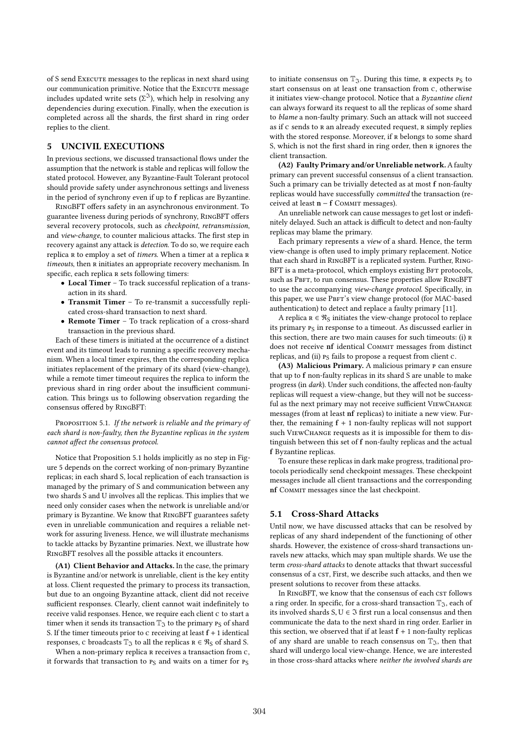of S send Execute messages to the replicas in next shard using our communication primitive. Notice that the Execute message includes updated write sets  $(\Sigma^3)$ , which help in resolving any dependencies during execution. Finally, when the execution is dependencies during execution. Finally, when the execution is completed across all the shards, the first shard in ring order replies to the client.

# 5 UNCIVIL EXECUTIONS

In previous sections, we discussed transactional flows under the assumption that the network is stable and replicas will follow the stated protocol. However, any Byzantine-Fault Tolerant protocol should provide safety under asynchronous settings and liveness in the period of synchrony even if up to f replicas are Byzantine.

RingBFT offers safety in an asynchronous environment. To guarantee liveness during periods of synchrony, RingBFT offers several recovery protocols, such as checkpoint, retransmission, and view-change, to counter malicious attacks. The first step in recovery against any attack is detection. To do so, we require each replica R to employ a set of timers. When a timer at a replica R timeouts, then r initiates an appropriate recovery mechanism. In specific, each replica  $R$  sets following timers:

- Local Timer To track successful replication of a transaction in its shard.
- Transmit Timer To re-transmit a successfully replicated cross-shard transaction to next shard.
- Remote Timer To track replication of a cross-shard transaction in the previous shard.

Each of these timers is initiated at the occurrence of a distinct event and its timeout leads to running a specific recovery mechanism. When a local timer expires, then the corresponding replica initiates replacement of the primary of its shard (view-change), while a remote timer timeout requires the replica to inform the previous shard in ring order about the insufficient communication. This brings us to following observation regarding the consensus offered by RingBFT:

PROPOSITION 5.1. If the network is reliable and the primary of each shard is non-faulty, then the Byzantine replicas in the system cannot affect the consensus protocol.

Notice that Proposition 5.1 holds implicitly as no step in Figure 5 depends on the correct working of non-primary Byzantine replicas; in each shard S, local replication of each transaction is managed by the primary of S and communication between any two shards S and U involves all the replicas. This implies that we need only consider cases when the network is unreliable and/or primary is Byzantine. We know that RingBFT guarantees safety even in unreliable communication and requires a reliable network for assuring liveness. Hence, we will illustrate mechanisms to tackle attacks by Byzantine primaries. Next, we illustrate how RingBFT resolves all the possible attacks it encounters.

(A1) Client Behavior and Attacks. In the case, the primary is Byzantine and/or network is unreliable, client is the key entity at loss. Client requested the primary to process its transaction, but due to an ongoing Byzantine attack, client did not receive sufficient responses. Clearly, client cannot wait indefinitely to receive valid responses. Hence, we require each client c to start a timer when it sends its transaction  $\mathbb{T}_{\mathfrak{I}}$  to the primary  $P_S$  of shard S. If the timer timeouts prior to  $c$  receiving at least  $f + 1$  identical responses, c broadcasts  $\mathbb{T}_\Im$  to all the replicas  $\mathbf{R} \in \mathcal{R}_\mathbf{S}$  of shard S.

When a non-primary replica R receives a transaction from c, it forwards that transaction to PS and waits on a timer for PS

to initiate consensus on  $\mathbb{T}_{\mathfrak{T}}$ . During this time,  $R$  expects  $P_S$  to start consensus on at least one transaction from c, otherwise it initiates view-change protocol. Notice that a Byzantine client can always forward its request to all the replicas of some shard to blame a non-faulty primary. Such an attack will not succeed as if c sends to R an already executed request, R simply replies with the stored response. Moreover, if R belongs to some shard S, which is not the first shard in ring order, then  $R$  ignores the client transaction.

(A2) Faulty Primary and/or Unreliable network. A faulty primary can prevent successful consensus of a client transaction. Such a primary can be trivially detected as at most f non-faulty replicas would have successfully committed the transaction (received at least n – f COMMIT messages).

An unreliable network can cause messages to get lost or indefinitely delayed. Such an attack is difficult to detect and non-faulty replicas may blame the primary.

Each primary represents a view of a shard. Hence, the term view-change is often used to imply primary replacement. Notice that each shard in RingBFT is a replicated system. Further, Ring-BFT is a meta-protocol, which employs existing BFT protocols, such as PBFT, to run consensus. These properties allow RINGBFT to use the accompanying view-change protocol. Specifically, in this paper, we use PBFT's view change protocol (for MAC-based authentication) to detect and replace a faulty primary [11].

A replica  $R \in \mathcal{R}_S$  initiates the view-change protocol to replace its primary  $P_S$  in response to a timeout. As discussed earlier in this section, there are two main causes for such timeouts: (i) r does not receive nf identical Commit messages from distinct replicas, and (ii)  $P_S$  fails to propose a request from client c.

(A3) Malicious Primary. A malicious primary p can ensure that up to f non-faulty replicas in its shard S are unable to make progress (in dark). Under such conditions, the affected non-faulty replicas will request a view-change, but they will not be successful as the next primary may not receive sufficient ViewChange messages (from at least nf replicas) to initiate a new view. Further, the remaining  $f + 1$  non-faulty replicas will not support such ViewChange requests as it is impossible for them to distinguish between this set of f non-faulty replicas and the actual f Byzantine replicas.

To ensure these replicas in dark make progress, traditional protocols periodically send checkpoint messages. These checkpoint messages include all client transactions and the corresponding nf Commit messages since the last checkpoint.

# 5.1 Cross-Shard Attacks

Until now, we have discussed attacks that can be resolved by replicas of any shard independent of the functioning of other shards. However, the existence of cross-shard transactions unravels new attacks, which may span multiple shards. We use the term cross-shard attacks to denote attacks that thwart successful consensus of a cst, First, we describe such attacks, and then we present solutions to recover from these attacks.

In RINGBFT, we know that the consensus of each cst follows a ring order. In specific, for a cross-shard transaction  $\mathbb{T}_{\mathfrak{I}}$ , each of its involved shards  $S, U \in \Im$  first run a local consensus and then communicate the data to the next shard in ring order. Earlier in this section, we observed that if at least  $f + 1$  non-faulty replicas of any shard are unable to reach consensus on  $\mathbb{T}_{\mathfrak{I}}$ , then that shard will undergo local view-change. Hence, we are interested in those cross-shard attacks where neither the involved shards are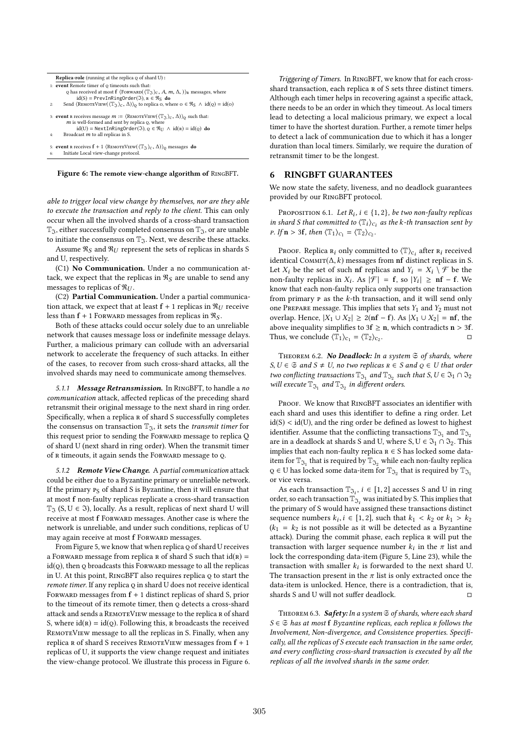```
Replica-role (running at the replica \varphi of shard U) :
1: event Remote timer of Q timeouts such that
Q has received at most f (FORWARD((T_3)<sub>C</sub>, A, m, Δ,))<sub>R</sub> messages, where id(S) = PrevInRingOrder(3), \kappa \in \Re_S do<br>2: Send (REMOTEVIEW((T_3)<sub>C</sub>, Δ))<sub>Q</sub> to replica o, where o ∈ \Re_S ∧ id(q) = id(o)
3: event R receives message m := \langle \text{REMOTEVIEW}(\langle \mathbb{T}_3 \rangle_C, \Delta) \rangle_Q such that:<br>
m is well-formed and sent by replica Q, where<br>
id(U) = \text{NextInRingOrder}(3), Q \in \mathfrak{R}_U \wedge id(R) = id(Q) do
            Broadcast m to all replicas in S.
5: event R receives f + 1 \langleREMOTEVIEW(\langle \mathbb{T}_{\mathfrak{I}} \rangle_C, \Delta) \rangle_Q messages do
           6: Initiate Local view-change protocol.
```
Figure 6: The remote view-change algorithm of RingBFT.

able to trigger local view change by themselves, nor are they able to execute the transaction and reply to the client. This can only occur when all the involved shards of a cross-shard transaction  $T_3$ , either successfully completed consensus on  $T_3$ , or are unable to initiate the consensus on  $\mathbb{T}_\mathfrak{T}$ . Next, we describe these attacks.

Assume  $\Re$ <sub>S</sub> and  $\Re$ <sub>*U*</sub> represent the sets of replicas in shards S and U, respectively.

(C1) No Communication. Under a no communication attack, we expect that the replicas in  $\Re s$  are unable to send any messages to replicas of  $\Re U$ .

(C2) Partial Communication. Under a partial communication attack, we expect that at least  $f + 1$  replicas in  $\Re_U$  receive less than  $f + 1$  FORWARD messages from replicas in  $\Re s$ .

Both of these attacks could occur solely due to an unreliable network that causes message loss or indefinite message delays. Further, a malicious primary can collude with an adversarial network to accelerate the frequency of such attacks. In either of the cases, to recover from such cross-shard attacks, all the involved shards may need to communicate among themselves.

5.1.1 Message Retransmission. In RINGBFT, to handle a no communication attack, affected replicas of the preceding shard retransmit their original message to the next shard in ring order. Specifically, when a replica R of shard S successfully completes the consensus on transaction  $\mathbb{T}_3$ , it sets the *transmit timer* for this request prior to sending the FORWARD message to replica Q of shard U (next shard in ring order). When the transmit timer of R timeouts, it again sends the FORWARD message to Q.

5.1.2 Remote View Change. A partial communication attack could be either due to a Byzantine primary or unreliable network. If the primary  $P_S$  of shard S is Byzantine, then it will ensure that at most f non-faulty replicas replicate a cross-shard transaction  $T_3$  (S, U  $\in$  3), locally. As a result, replicas of next shard U will receive at most f Forward messages. Another case is where the network is unreliable, and under such conditions, replicas of U may again receive at most f FORWARD messages.

From Figure 5, we know that when replica Q of shard U receives a FORWARD message from replica R of shard S such that  $id(R) =$  $id(Q)$ , then Q broadcasts this FORWARD message to all the replicas in U. At this point, RingBFT also requires replica q to start the remote timer. If any replica Q in shard U does not receive identical FORWARD messages from  $f + 1$  distinct replicas of shard S, prior to the timeout of its remote timer, then  $Q$  detects a cross-shard attack and sends a REMOTEVIEW message to the replica R of shard S, where  $id(R) = id(Q)$ . Following this, R broadcasts the received REMOTEVIEW message to all the replicas in S. Finally, when any replica R of shard S receives REMOTEVIEW messages from  $f + 1$ replicas of U, it supports the view change request and initiates the view-change protocol. We illustrate this process in Figure 6.

Triggering of Timers. In RingBFT, we know that for each crossshard transaction, each replica R of S sets three distinct timers. Although each timer helps in recovering against a specific attack, there needs to be an order in which they timeout. As local timers lead to detecting a local malicious primary, we expect a local timer to have the shortest duration. Further, a remote timer helps to detect a lack of communication due to which it has a longer duration than local timers. Similarly, we require the duration of retransmit timer to be the longest.

## 6 RINGBFT GUARANTEES

We now state the safety, liveness, and no deadlock guarantees provided by our RingBFT protocol.

PROPOSITION 6.1. Let  $R_i$ ,  $i \in \{1, 2\}$ , be two non-faulty replicas that committed to  $\langle \mathbb{T} \cdot \rangle$  as the k-th transaction sent by in shard S that committed to  $\langle T_i \rangle_{ci}$  as the k-th transaction sent by<br> $F \downarrow F \uparrow \rightarrow 3f$  then  $\langle T_i \rangle_{ci} = \langle T_0 \rangle$ . *p.* If  $n > 3f$ , then  $\langle \mathbb{T}_1 \rangle_{C_1} = \langle \mathbb{T}_2 \rangle_{C_2}$ .

PROOF. Replica  $\mathbf{R}_i$  only committed to  $\langle \mathbb{T} \rangle_{C_i}$  after  $\mathbf{R}_i$  received<br>patieal COMMT( $\Delta$  k) messages from **pf** distinct replices in S identical COMMIT $(\Delta, k)$  messages from nf distinct replicas in S. Let  $X_i$  be the set of such nf replicas and  $Y_i = X_i \setminus \mathcal{F}$  be the non-faulty replicas in  $X_i$ . As  $|\mathcal{F}| = f$ , so  $|Y_i| \geq nf - f$ . We know that each non-faulty replica only supports one transaction know that each non-faulty replica only supports one transaction from primary  $P$  as the  $k$ -th transaction, and it will send only one PREPARE message. This implies that sets  $Y_1$  and  $Y_2$  must not overlap. Hence,  $|X_1 \cup X_2| \ge 2(nf - f)$ . As  $|X_1 \cup X_2| = nf$ , the above inequality simplifies to  $3f \ge n$ , which contradicts  $n > 3f$ . Thus, we conclude  $\langle \mathbb{T}_1 \rangle_{C_1} = \langle \mathbb{T}_2 \rangle_{C_2}$ . . □

THEOREM 6.2. No Deadlock: In a system  $\Im$  of shards, where  $S, U \in \mathfrak{S}$  and  $S \neq U$ , no two replicas  $R \in S$  and  $Q \in U$  that order two conflicting transactions  $\mathbb{T}_{\mathfrak{I}_1}$  and  $\mathbb{T}_{\mathfrak{I}_2}$  such that  $S, U \in \mathfrak{I}_1 \cap \mathfrak{I}_2$ will execute  $\mathbb{T}_{\mathfrak{I}_1}$  and  $\mathbb{T}_{\mathfrak{I}_2}$  in different orders.

PROOF. We know that RINGBFT associates an identifier with each shard and uses this identifier to define a ring order. Let  $id(S) < id(U)$ , and the ring order be defined as lowest to highest identifier. Assume that the conflicting transactions  $\mathbb{T}_{\mathfrak{I}_1}$  and  $\mathbb{T}_{\mathfrak{I}_2}$ are in a deadlock at shards S and U, where  $S, U \in \mathfrak{I}_1 \cap \mathfrak{I}_2$ . This implies that each non-faulty replica  $R \in S$  has locked some dataitem for  $\mathbb{T}_{\mathfrak{I}_1}$  that is required by  $\mathbb{T}_{\mathfrak{I}_2}$  while each non-faulty replica  $\texttt{Q}\in\texttt{U}$  has locked some data-item for  $\mathbb{T}_{\mathfrak{I}_2}$  that is required by  $\mathbb{T}_{\mathfrak{I}_1}$ or vice versa.

As each transaction  $\mathbb{T}_{\mathfrak{I}_i}$ ,  $i \in [1, 2]$  accesses S and U in ring<br>der so each transaction  $\mathbb{T}_{\infty}$ , was initiated by S. This implies that order, so each transaction  $\mathbb{T}_{\mathfrak{I}_i}$  was initiated by S. This implies that the primary of S would have assigned these transactions distinct sequence numbers  $k_i$ ,  $i \in [1, 2]$ , such that  $k_1 < k_2$  or  $k_1 > k_2$ <br>( $k_2 = k_2$  is not possible as it will be detected as a Byzantine  $(k_1 = k_2$  is not possible as it will be detected as a Byzantine attack). During the commit phase, each replica R will put the transaction with larger sequence number  $k_i$  in the π list and lock the corresponding data-item (Figure 5. I ine 23) while the lock the corresponding data-item (Figure 5, Line 23), while the transaction with smaller  $k_i$  is forwarded to the next shard U.<br>The transaction present in the  $\pi$  list is only extracted once the The transaction present in the  $\pi$  list is only extracted once the data-item is unlocked. Hence, there is a contradiction, that is, shards S and U will not suffer deadlock.  $□$ 

THEOREM 6.3. Safety: In a system  $S$  of shards, where each shard  $S \in \mathfrak{S}$  has at most f Byzantine replicas, each replica R follows the Involvement, Non-divergence, and Consistence properties. Specifically, all the replicas of S execute each transaction in the same order, and every conflicting cross-shard transaction is executed by all the replicas of all the involved shards in the same order.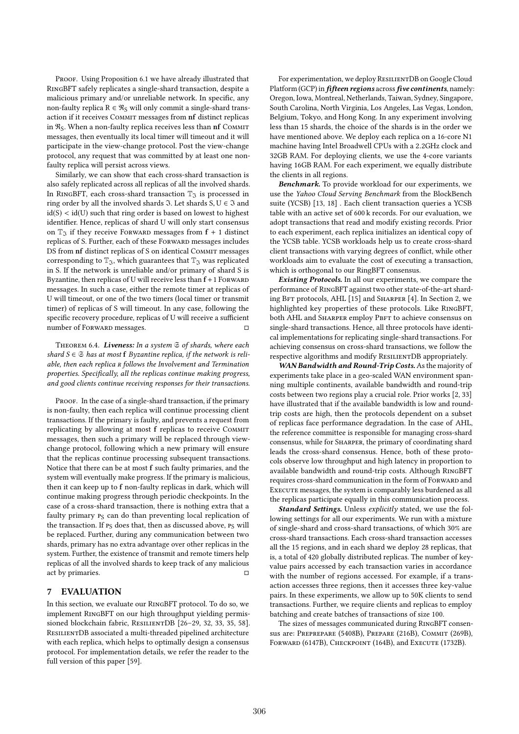PROOF. Using Proposition 6.1 we have already illustrated that RingBFT safely replicates a single-shard transaction, despite a malicious primary and/or unreliable network. In specific, any non-faulty replica  $R \in \mathcal{R}_S$  will only commit a single-shard transaction if it receives Commit messages from nf distinct replicas in  $\Re$ <sub>S</sub>. When a non-faulty replica receives less than nf COMMIT messages, then eventually its local timer will timeout and it will participate in the view-change protocol. Post the view-change protocol, any request that was committed by at least one nonfaulty replica will persist across views.

Similarly, we can show that each cross-shard transaction is also safely replicated across all replicas of all the involved shards. In RINGBFT, each cross-shard transaction  $\mathbb{T}_{\mathfrak{I}}$  is processed in ring order by all the involved shards  $\Im$ . Let shards  $S, U \in \Im$  and  $id(S) < id(U)$  such that ring order is based on lowest to highest identifier. Hence, replicas of shard U will only start consensus on  $\mathbb{T}_3$  if they receive Forward messages from  $f + 1$  distinct replicas of S. Further, each of these FORWARD messages includes DS from nf distinct replicas of S on identical COMMIT messages corresponding to  $\mathbb{T}_3$ , which guarantees that  $\mathbb{T}_3$  was replicated in S. If the network is unreliable and/or primary of shard S is Byzantine, then replicas of U will receive less than  $f + 1$  FORWARD messages. In such a case, either the remote timer at replicas of U will timeout, or one of the two timers (local timer or transmit timer) of replicas of S will timeout. In any case, following the specific recovery procedure, replicas of U will receive a sufficient number of FORWARD messages.

THEOREM 6.4. Liveness: In a system  $\mathfrak S$  of shards, where each shard  $S \in \mathfrak{S}$  has at most f Byzantine replica, if the network is reliable, then each replica R follows the Involvement and Termination properties. Specifically, all the replicas continue making progress, and good clients continue receiving responses for their transactions.

PROOF. In the case of a single-shard transaction, if the primary is non-faulty, then each replica will continue processing client transactions. If the primary is faulty, and prevents a request from replicating by allowing at most f replicas to receive Commit messages, then such a primary will be replaced through viewchange protocol, following which a new primary will ensure that the replicas continue processing subsequent transactions. Notice that there can be at most f such faulty primaries, and the system will eventually make progress. If the primary is malicious, then it can keep up to f non-faulty replicas in dark, which will continue making progress through periodic checkpoints. In the case of a cross-shard transaction, there is nothing extra that a faulty primary  $P_S$  can do than preventing local replication of the transaction. If  $P_S$  does that, then as discussed above,  $P_S$  will be replaced. Further, during any communication between two shards, primary has no extra advantage over other replicas in the system. Further, the existence of transmit and remote timers help replicas of all the involved shards to keep track of any malicious act by primaries.  $\Box$ 

# 7 EVALUATION

In this section, we evaluate our RingBFT protocol. To do so, we implement RingBFT on our high throughput yielding permissioned blockchain fabric, RESILIENTDB [26-29, 32, 33, 35, 58]. ResilientDB associated a multi-threaded pipelined architecture with each replica, which helps to optimally design a consensus protocol. For implementation details, we refer the reader to the full version of this paper [59].

For experimentation, we deploy RESILIENTDB on Google Cloud Platform (GCP) in *fifteen regions* across *five continents*, namely: Oregon, Iowa, Montreal, Netherlands, Taiwan, Sydney, Singapore, South Carolina, North Virginia, Los Angeles, Las Vegas, London, Belgium, Tokyo, and Hong Kong. In any experiment involving less than 15 shards, the choice of the shards is in the order we have mentioned above. We deploy each replica on a 16-core N1 machine having Intel Broadwell CPUs with a 2.2GHz clock and 32GB RAM. For deploying clients, we use the 4-core variants having 16GB RAM. For each experiment, we equally distribute the clients in all regions.

Benchmark. To provide workload for our experiments, we use the Yahoo Cloud Serving Benchmark from the BlockBench suite (YCSB) [13, 18] . Each client transaction queries a YCSB table with an active set of 600 k records. For our evaluation, we adopt transactions that read and modify existing records. Prior to each experiment, each replica initializes an identical copy of the YCSB table. YCSB workloads help us to create cross-shard client transactions with varying degrees of conflict, while other workloads aim to evaluate the cost of executing a transaction, which is orthogonal to our RingBFT consensus.

Existing Protocols. In all our experiments, we compare the performance of RingBFT against two other state-of-the-art sharding BFT protocols, AHL [15] and SHARPER [4]. In Section 2, we highlighted key properties of these protocols. Like RingBFT, both AHL and SHARPER employ PBFT to achieve consensus on single-shard transactions. Hence, all three protocols have identical implementations for replicating single-shard transactions. For achieving consensus on cross-shard transactions, we follow the respective algorithms and modify ResilientDB appropriately.

WAN Bandwidth and Round-Trip Costs. As the majority of experiments take place in a geo-scaled WAN environment spanning multiple continents, available bandwidth and round-trip costs between two regions play a crucial role. Prior works [2, 33] have illustrated that if the available bandwidth is low and roundtrip costs are high, then the protocols dependent on a subset of replicas face performance degradation. In the case of AHL, the reference committee is responsible for managing cross-shard consensus, while for Sharper, the primary of coordinating shard leads the cross-shard consensus. Hence, both of these protocols observe low throughput and high latency in proportion to available bandwidth and round-trip costs. Although RingBFT requires cross-shard communication in the form of FORWARD and Execute messages, the system is comparably less burdened as all the replicas participate equally in this communication process.

Standard Settings. Unless explicitly stated, we use the following settings for all our experiments. We run with a mixture of single-shard and cross-shard transactions, of which 30% are cross-shard transactions. Each cross-shard transaction accesses all the 15 regions, and in each shard we deploy 28 replicas, that is, a total of 420 globally distributed replicas. The number of keyvalue pairs accessed by each transaction varies in accordance with the number of regions accessed. For example, if a transaction accesses three regions, then it accesses three key-value pairs. In these experiments, we allow up to 50K clients to send transactions. Further, we require clients and replicas to employ batching and create batches of transactions of size 100.

The sizes of messages communicated during RingBFT consensus are: Preprepare (5408B), Prepare (216B), Commit (269B), FORWARD (6147B), CHECKPOINT (164B), and EXECUTE (1732B).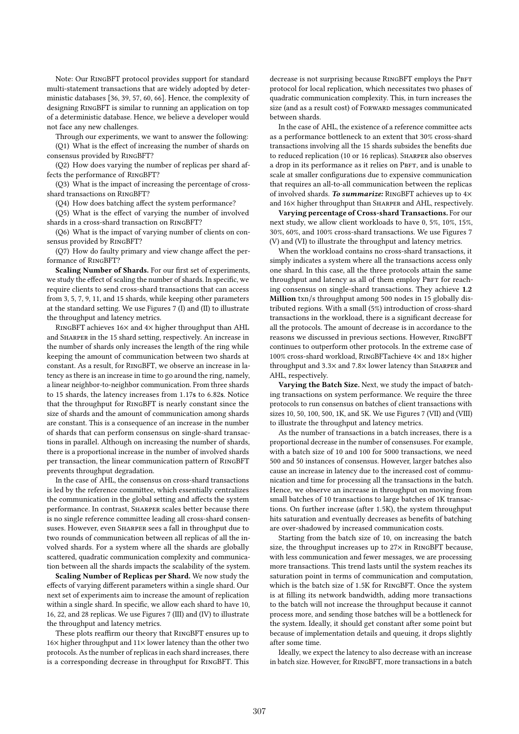Note: Our RingBFT protocol provides support for standard multi-statement transactions that are widely adopted by deterministic databases [36, 39, 57, 60, 66]. Hence, the complexity of designing RingBFT is similar to running an application on top of a deterministic database. Hence, we believe a developer would not face any new challenges.

Through our experiments, we want to answer the following: (Q1) What is the effect of increasing the number of shards on consensus provided by RingBFT?

(Q2) How does varying the number of replicas per shard affects the performance of RingBFT?

(Q3) What is the impact of increasing the percentage of crossshard transactions on RingBFT?

(Q4) How does batching affect the system performance?

(Q5) What is the effect of varying the number of involved shards in a cross-shard transaction on RingBFT?

(Q6) What is the impact of varying number of clients on consensus provided by RingBFT?

(Q7) How do faulty primary and view change affect the performance of RingBFT?

Scaling Number of Shards. For our first set of experiments, we study the effect of scaling the number of shards. In specific, we require clients to send cross-shard transactions that can access from 3, 5, 7, 9, 11, and 15 shards, while keeping other parameters at the standard setting. We use Figures 7 (I) and (II) to illustrate the throughput and latency metrics.

RingBFT achieves 16× and 4× higher throughput than AHL and Sharper in the 15 shard setting, respectively. An increase in the number of shards only increases the length of the ring while keeping the amount of communication between two shards at constant. As a result, for RingBFT, we observe an increase in latency as there is an increase in time to go around the ring, namely, a linear neighbor-to-neighbor communication. From three shards to 15 shards, the latency increases from 1.17s to 6.82s. Notice that the throughput for RingBFT is nearly constant since the size of shards and the amount of communication among shards are constant. This is a consequence of an increase in the number of shards that can perform consensus on single-shard transactions in parallel. Although on increasing the number of shards, there is a proportional increase in the number of involved shards per transaction, the linear communication pattern of RingBFT prevents throughput degradation.

In the case of AHL, the consensus on cross-shard transactions is led by the reference committee, which essentially centralizes the communication in the global setting and affects the system performance. In contrast, Sharper scales better because there is no single reference committee leading all cross-shard consensuses. However, even Sharper sees a fall in throughput due to two rounds of communication between all replicas of all the involved shards. For a system where all the shards are globally scattered, quadratic communication complexity and communication between all the shards impacts the scalability of the system.

Scaling Number of Replicas per Shard. We now study the effects of varying different parameters within a single shard. Our next set of experiments aim to increase the amount of replication within a single shard. In specific, we allow each shard to have 10, 16, 22, and 28 replicas. We use Figures 7 (III) and (IV) to illustrate the throughput and latency metrics.

These plots reaffirm our theory that RingBFT ensures up to  $16\times$  higher throughput and  $11\times$  lower latency than the other two protocols. As the number of replicas in each shard increases, there is a corresponding decrease in throughput for RingBFT. This

decrease is not surprising because RINGBFT employs the PBFT protocol for local replication, which necessitates two phases of quadratic communication complexity. This, in turn increases the size (and as a result cost) of FORWARD messages communicated between shards.

In the case of AHL, the existence of a reference committee acts as a performance bottleneck to an extent that 30% cross-shard transactions involving all the 15 shards subsides the benefits due to reduced replication (10 or 16 replicas). SHARPER also observes a drop in its performance as it relies on PBFT, and is unable to scale at smaller configurations due to expensive communication that requires an all-to-all communication between the replicas of involved shards. To summarize: RINGBFT achieves up to  $4\times$ and 16× higher throughput than SHARPER and AHL, respectively.

Varying percentage of Cross-shard Transactions. For our next study, we allow client workloads to have 0, 5%, 10%, 15%, 30%, 60%, and 100% cross-shard transactions. We use Figures 7 (V) and (VI) to illustrate the throughput and latency metrics.

When the workload contains no cross-shard transactions, it simply indicates a system where all the transactions access only one shard. In this case, all the three protocols attain the same throughput and latency as all of them employ PBFT for reaching consensus on single-shard transactions. They achieve 1.2 Million txn/s throughput among 500 nodes in 15 globally distributed regions. With a small (5%) introduction of cross-shard transactions in the workload, there is a significant decrease for all the protocols. The amount of decrease is in accordance to the reasons we discussed in previous sections. However, RingBFT continues to outperform other protocols. In the extreme case of 100% cross-shard workload, RingBFTachieve 4× and 18× higher throughput and  $3.3\times$  and  $7.8\times$  lower latency than SHARPER and AHL, respectively.

Varying the Batch Size. Next, we study the impact of batching transactions on system performance. We require the three protocols to run consensus on batches of client transactions with sizes 10, 50, 100, 500, 1K, and 5K. We use Figures 7 (VII) and (VIII) to illustrate the throughput and latency metrics.

As the number of transactions in a batch increases, there is a proportional decrease in the number of consensuses. For example, with a batch size of 10 and 100 for 5000 transactions, we need 500 and 50 instances of consensus. However, larger batches also cause an increase in latency due to the increased cost of communication and time for processing all the transactions in the batch. Hence, we observe an increase in throughput on moving from small batches of 10 transactions to large batches of 1K transactions. On further increase (after 1.5K), the system throughput hits saturation and eventually decreases as benefits of batching are over-shadowed by increased communication costs.

Starting from the batch size of 10, on increasing the batch size, the throughput increases up to 27× in RINGBFT because, with less communication and fewer messages, we are processing more transactions. This trend lasts until the system reaches its saturation point in terms of communication and computation, which is the batch size of 1.5K for RingBFT. Once the system is at filling its network bandwidth, adding more transactions to the batch will not increase the throughput because it cannot process more, and sending those batches will be a bottleneck for the system. Ideally, it should get constant after some point but because of implementation details and queuing, it drops slightly after some time.

Ideally, we expect the latency to also decrease with an increase in batch size. However, for RingBFT, more transactions in a batch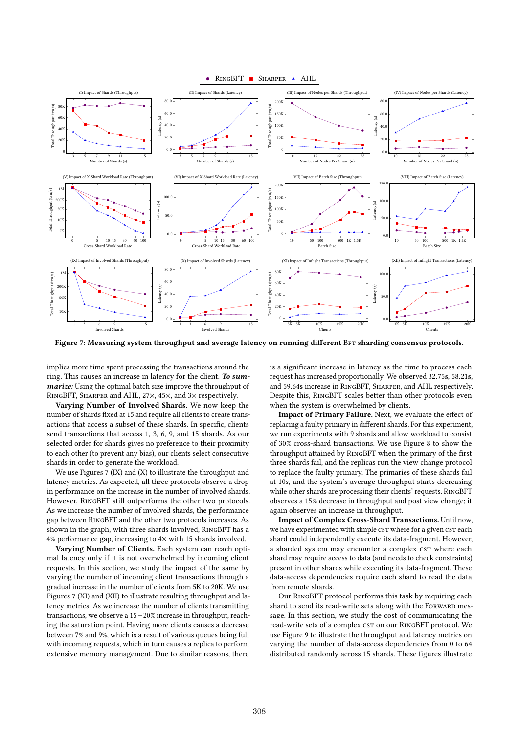

Figure 7: Measuring system throughput and average latency on running different BFT sharding consensus protocols.

implies more time spent processing the transactions around the ring. This causes an increase in latency for the client. To summarize: Using the optimal batch size improve the throughput of RingBFT, Sharper and AHL, 27×, 45×, and 3× respectively.

Varying Number of Involved Shards. We now keep the number of shards fixed at 15 and require all clients to create transactions that access a subset of these shards. In specific, clients send transactions that access 1, 3, 6, 9, and 15 shards. As our selected order for shards gives no preference to their proximity to each other (to prevent any bias), our clients select consecutive shards in order to generate the workload.

We use Figures 7 (IX) and (X) to illustrate the throughput and latency metrics. As expected, all three protocols observe a drop in performance on the increase in the number of involved shards. However, RingBFT still outperforms the other two protocols. As we increase the number of involved shards, the performance gap between RingBFT and the other two protocols increases. As shown in the graph, with three shards involved, RingBFT has a 4% performance gap, increasing to 4× with 15 shards involved.

Varying Number of Clients. Each system can reach optimal latency only if it is not overwhelmed by incoming client requests. In this section, we study the impact of the same by varying the number of incoming client transactions through a gradual increase in the number of clients from 5K to 20K. We use Figures 7 (XI) and (XII) to illustrate resulting throughput and latency metrics. As we increase the number of clients transmitting transactions, we observe a 15−20% increase in throughput, reaching the saturation point. Having more clients causes a decrease between 7% and 9%, which is a result of various queues being full with incoming requests, which in turn causes a replica to perform extensive memory management. Due to similar reasons, there

is a significant increase in latency as the time to process each request has increased proportionally. We observed 32.75s, 58.21s, and 59.64s increase in RingBFT, Sharper, and AHL respectively. Despite this, RingBFT scales better than other protocols even when the system is overwhelmed by clients.

Impact of Primary Failure. Next, we evaluate the effect of replacing a faulty primary in different shards. For this experiment, we run experiments with 9 shards and allow workload to consist of 30% cross-shard transactions. We use Figure 8 to show the throughput attained by RingBFT when the primary of the first three shards fail, and the replicas run the view change protocol to replace the faulty primary. The primaries of these shards fail at <sup>10</sup>s, and the system's average throughput starts decreasing while other shards are processing their clients' requests. RingBFT observes a 15% decrease in throughput and post view change; it again observes an increase in throughput.

Impact of Complex Cross-Shard Transactions. Until now, we have experimented with simple csT where for a given csT each shard could independently execute its data-fragment. However, a sharded system may encounter a complex csT where each shard may require access to data (and needs to check constraints) present in other shards while executing its data-fragment. These data-access dependencies require each shard to read the data from remote shards.

Our RingBFT protocol performs this task by requiring each shard to send its read-write sets along with the FORWARD message. In this section, we study the cost of communicating the read-write sets of a complex  $c$ st on our RINGBFT protocol. We use Figure 9 to illustrate the throughput and latency metrics on varying the number of data-access dependencies from 0 to 64 distributed randomly across 15 shards. These figures illustrate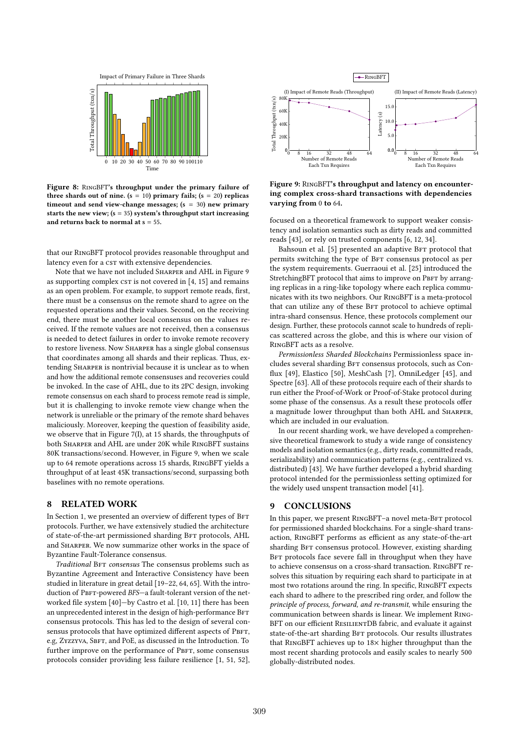

Figure 8: RingBFT's throughput under the primary failure of three shards out of nine. ( $s = 10$ ) primary fails; ( $s = 20$ ) replicas timeout and send view-change messages; (s = 30) new primary starts the new view;  $(s = 35)$  system's throughput start increasing and returns back to normal at  $s = 55$ .

that our RingBFT protocol provides reasonable throughput and latency even for a cst with extensive dependencies.

Note that we have not included Sharper and AHL in Figure 9 as supporting complex  $c$ s is not covered in  $[4, 15]$  and remains as an open problem. For example, to support remote reads, first, there must be a consensus on the remote shard to agree on the requested operations and their values. Second, on the receiving end, there must be another local consensus on the values received. If the remote values are not received, then a consensus is needed to detect failures in order to invoke remote recovery to restore liveness. Now SHARPER has a single global consensus that coordinates among all shards and their replicas. Thus, extending Sharper is nontrivial because it is unclear as to when and how the additional remote consensuses and recoveries could be invoked. In the case of AHL, due to its 2PC design, invoking remote consensus on each shard to process remote read is simple, but it is challenging to invoke remote view change when the network is unreliable or the primary of the remote shard behaves maliciously. Moreover, keeping the question of feasibility aside, we observe that in Figure 7(I), at 15 shards, the throughputs of both Sharper and AHL are under 20K while RingBFT sustains 80K transactions/second. However, in Figure 9, when we scale up to 64 remote operations across 15 shards, RingBFT yields a throughput of at least 45K transactions/second, surpassing both baselines with no remote operations.

## 8 RELATED WORK

In Section 1, we presented an overview of different types of BFT protocols. Further, we have extensively studied the architecture of state-of-the-art permissioned sharding BFT protocols, AHL and Sharper. We now summarize other works in the space of Byzantine Fault-Tolerance consensus.

Traditional BFT consensus The consensus problems such as Byzantine Agreement and Interactive Consistency have been studied in literature in great detail [19–22, 64, 65]. With the introduction of PBFT-powered BFS-a fault-tolerant version of the networked file system [40]—by Castro et al. [10, 11] there has been an unprecedented interest in the design of high-performance BFT consensus protocols. This has led to the design of several consensus protocols that have optimized different aspects of PBFT, e.g, Zyzzyva, SBFT, and PoE, as discussed in the Introduction. To further improve on the performance of PBFT, some consensus protocols consider providing less failure resilience [1, 51, 52],



Figure 9: RingBFT's throughput and latency on encountering complex cross-shard transactions with dependencies varying from 0 to 64.

focused on a theoretical framework to support weaker consistency and isolation semantics such as dirty reads and committed reads [43], or rely on trusted components [6, 12, 34].

Bahsoun et al. [5] presented an adaptive BFT protocol that permits switching the type of BFT consensus protocol as per the system requirements. Guerraoui et al. [25] introduced the StretchingBFT protocol that aims to improve on PBFT by arranging replicas in a ring-like topology where each replica communicates with its two neighbors. Our RingBFT is a meta-protocol that can utilize any of these BFT protocol to achieve optimal intra-shard consensus. Hence, these protocols complement our design. Further, these protocols cannot scale to hundreds of replicas scattered across the globe, and this is where our vision of RingBFT acts as a resolve.

Permissionless Sharded Blockchains Permissionless space includes several sharding BFT consensus protocols, such as Conflux [49], Elastico [50], MeshCash [7], OmniLedger [45], and Spectre [63]. All of these protocols require each of their shards to run either the Proof-of-Work or Proof-of-Stake protocol during some phase of the consensus. As a result these protocols offer a magnitude lower throughput than both AHL and Sharper, which are included in our evaluation.

In our recent sharding work, we have developed a comprehensive theoretical framework to study a wide range of consistency models and isolation semantics (e.g., dirty reads, committed reads, serializability) and communication patterns (e.g., centralized vs. distributed) [43]. We have further developed a hybrid sharding protocol intended for the permissionless setting optimized for the widely used unspent transaction model [41].

## 9 CONCLUSIONS

In this paper, we present RINGBFT-a novel meta-BFT protocol for permissioned sharded blockchains. For a single-shard transaction, RingBFT performs as efficient as any state-of-the-art sharding BFT consensus protocol. However, existing sharding BFT protocols face severe fall in throughput when they have to achieve consensus on a cross-shard transaction. RingBFT resolves this situation by requiring each shard to participate in at most two rotations around the ring. In specific, RingBFT expects each shard to adhere to the prescribed ring order, and follow the principle of process, forward, and re-transmit, while ensuring the communication between shards is linear. We implement Ring-BFT on our efficient RESILIENTDB fabric, and evaluate it against state-of-the-art sharding BFT protocols. Our results illustrates that RingBFT achieves up to 18× higher throughput than the most recent sharding protocols and easily scales to nearly 500 globally-distributed nodes.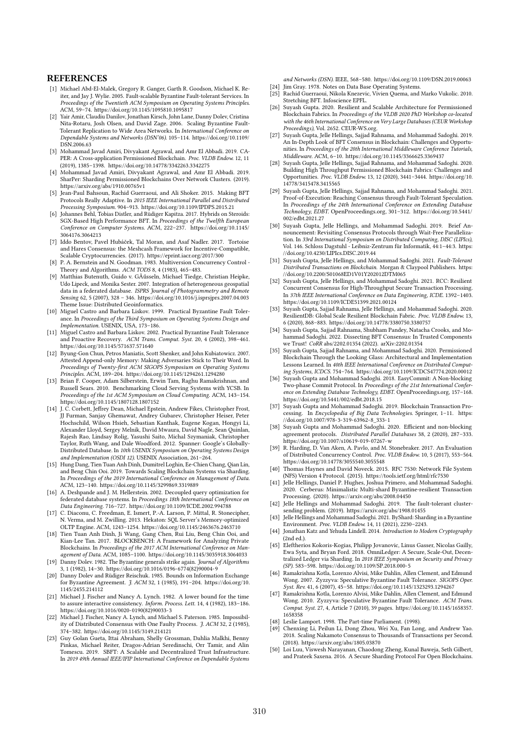#### **REFERENCES**

- [1] Michael Abd-El-Malek, Gregory R. Ganger, Garth R. Goodson, Michael K. Reiter, and Jay J. Wylie. 2005. Fault-scalable Byzantine Fault-tolerant Services. In Proceedings of the Twentieth ACM Symposium on Operating Systems Principles. ACM, 59–74. https://doi.org/10.1145/1095810.1095817
- [2] Yair Amir, Claudiu Danilov, Jonathan Kirsch, John Lane, Danny Dolev, Cristina Nita-Rotaru, Josh Olsen, and David Zage. 2006. Scaling Byzantine Fault-Tolerant Replication to Wide Area Networks. In International Conference on Dependable Systems and Networks (DSN'06). 105–114. https://doi.org/10.1109/ DSN.2006.63
- [3] Mohammad Javad Amiri, Divyakant Agrawal, and Amr El Abbadi. 2019. CA-PER: A Cross-application Permissioned Blockchain. Proc. VLDB Endow. 12, 11 (2019), 1385–1398. https://doi.org/10.14778/3342263.3342275
- [4] Mohammad Javad Amiri, Divyakant Agrawal, and Amr El Abbadi. 2019. SharPer: Sharding Permissioned Blockchains Over Network Clusters. (2019). https://arxiv.org/abs/1910.00765v1
- [5] Jean-Paul Bahsoun, Rachid Guerraoui, and Ali Shoker. 2015. Making BFT .<br>Protocols Really Adaptive. In 2015 IEEE International Parallel and Distributed Processing Symposium. 904–913. https://doi.org/10.1109/IPDPS.2015.21
- [6] Johannes Behl, Tobias Distler, and Rüdiger Kapitza. 2017. Hybrids on Steroids: SGX-Based High Performance BFT. In Proceedings of the Twelfth European Conference on Computer Systems. ACM, 222–237. https://doi.org/10.1145/ 3064176.3064213
- [7] Iddo Bentov, Pavel Hubáček, Tal Moran, and Asaf Nadler. 2017. Tortoise and Hares Consensus: the Meshcash Framework for Incentive-Compatible, Scalable Cryptocurrencies. (2017). https://eprint.iacr.org/2017/300
- [8] P. A. Bernstein and N. Goodman. 1983. Multiversion Concurrency Control -Theory and Algorithms. ACM TODS 8, 4 (1983), 465–483.
- [9] Matthias Butenuth, Guido v. GÃűsseln, Michael Tiedge, Christian Heipke, Udo Lipeck, and Monika Sester. 2007. Integration of heterogeneous geospatial data in a federated database. ISPRS Journal of Photogrammetry and Remote Sensing 62, 5 (2007), 328 – 346. https://doi.org/10.1016/j.isprsjprs.2007.04.003 Theme Issue: Distributed Geoinformatics.
- [10] Miguel Castro and Barbara Liskov. 1999. Practical Byzantine Fault Tolerance. In Proceedings of the Third Symposium on Operating Systems Design and Implementation. USENIX, USA, 173–186.
- [11] Miguel Castro and Barbara Liskov. 2002. Practical Byzantine Fault Tolerance and Proactive Recovery. ACM Trans. Comput. Syst. 20, 4 (2002), 398–461. https://doi.org/10.1145/571637.571640
- [12] Byung-Gon Chun, Petros Maniatis, Scott Shenker, and John Kubiatowicz. 2007. Attested Append-only Memory: Making Adversaries Stick to Their Word. In Proceedings of Twenty-first ACM SIGOPS Symposium on Operating Systems Principles. ACM, 189–204. https://doi.org/10.1145/1294261.1294280
- [13] Brian F. Cooper, Adam Silberstein, Erwin Tam, Raghu Ramakrishnan, and Russell Sears. 2010. Benchmarking Cloud Serving Systems with YCSB. In Proceedings of the 1st ACM Symposium on Cloud Computing. ACM, 143–154. https://doi.org/10.1145/1807128.1807152
- [14] J. C. Corbett, Jeffrey Dean, Michael Epstein, Andrew Fikes, Christopher Frost, JJ Furman, Sanjay Ghemawat, Andrey Gubarev, Christopher Heiser, Peter Hochschild, Wilson Hsieh, Sebastian Kanthak, Eugene Kogan, Hongyi Li, Alexander Lloyd, Sergey Melnik, David Mwaura, David Nagle, Sean Quinlan, Rajesh Rao, Lindsay Rolig, Yasushi Saito, Michal Szymaniak, Christopher Taylor, Ruth Wang, and Dale Woodford. 2012. Spanner: Google's Globally-Distributed Database. In 10th USENIX Symposium on Operating Systems Design and Implementation (OSDI 12). USENIX Association, 261–264.
- [15] Hung Dang, Tien Tuan Anh Dinh, Dumitrel Loghin, Ee-Chien Chang, Qian Lin, and Beng Chin Ooi. 2019. Towards Scaling Blockchain Systems via Sharding. In Proceedings of the 2019 International Conference on Management of Data.
- ACM, 123–140. https://doi.org/10.1145/3299869.3319889 [16] A. Deshpande and J. M. Hellerstein. 2002. Decoupled query optimization for federated database systems. In Proceedings 18th International Conference on Data Engineering. 716–727. https://doi.org/10.1109/ICDE.2002.994788
- [17] C. Diaconu, C. Freedman, E. Ismert, P.-A. Larson, P. Mittal, R. Stonecipher, N. Verma, and M. Zwilling. 2013. Hekaton: SQL Server's Memory-optimized OLTP Engine. ACM, 1243–1254. https://doi.org/10.1145/2463676.2463710
- [18] Tien Tuan Anh Dinh, Ji Wang, Gang Chen, Rui Liu, Beng Chin Ooi, and Kian-Lee Tan. 2017. BLOCKBENCH: A Framework for Analyzing Private Blockchains. In Proceedings of the 2017 ACM International Conference on Management of Data. ACM, 1085–1100. https://doi.org/10.1145/3035918.3064033
- [19] Danny Dolev. 1982. The Byzantine generals strike again. Journal of Algorithms 3, 1 (1982), 14–30. https://doi.org/10.1016/0196-6774(82)90004-9
- [20] Danny Dolev and Rüdiger Reischuk. 1985. Bounds on Information Exchange for Byzantine Agreement. J. ACM 32, 1 (1985), 191–204. https://doi.org/10. 1145/2455.214112
- [21] Michael J. Fischer and Nancy A. Lynch. 1982. A lower bound for the time to assure interactive consistency. Inform. Process. Lett. 14, 4 (1982), 183–186. https://doi.org/10.1016/0020-0190(82)90033-3
- [22] Michael J. Fischer, Nancy A. Lynch, and Michael S. Paterson. 1985. Impossibil-ity of Distributed Consensus with One Faulty Process. J. ACM 32, 2 (1985), 374–382. https://doi.org/10.1145/3149.214121
- [23] Guy Golan Gueta, Ittai Abraham, Shelly Grossman, Dahlia Malkhi, Benny Pinkas, Michael Reiter, Dragos-Adrian Seredinschi, Orr Tamir, and Alin Tomescu. 2019. SBFT: A Scalable and Decentralized Trust Infrastructure. In 2019 49th Annual IEEE/IFIP International Conference on Dependable Systems

and Networks (DSN). IEEE, 568–580. https://doi.org/10.1109/DSN.2019.00063 [24] Jim Gray. 1978. Notes on Data Base Operating Systems.

- Rachid Guerraoui, Nikola Knezevic, Vivien Quema, and Marko Vukolic. 2010. Stretching BFT. Infoscience EPFL.
- [26] Suyash Gupta. 2020. Resilient and Scalable Architecture for Permissioned Blockchain Fabrics. In Proceedings of the VLDB 2020 PhD Workshop co-located with the 46th International Conference on Very Large Databases (CEUR Workshop Proceedings), Vol. 2652. CEUR-WS.org.
- [27] Suyash Gupta, Jelle Hellings, Sajjad Rahnama, and Mohammad Sadoghi. 2019. An In-Depth Look of BFT Consensus in Blockchain: Challenges and Opportunities. In Proceedings of the 20th International Middleware Conference Tutorials, Middleware. ACM, 6–10. https://doi.org/10.1145/3366625.3369437
- [28] Suyash Gupta, Jelle Hellings, Sajjad Rahnama, and Mohammad Sadoghi. 2020. Building High Throughput Permissioned Blockchain Fabrics: Challenges and Opportunities. Proc. VLDB Endow. 13, 12 (2020), 3441–3444. https://doi.org/10. 14778/3415478.3415565
- [29] Suyash Gupta, Jelle Hellings, Sajjad Rahnama, and Mohammad Sadoghi. 2021. Proof-of-Execution: Reaching Consensus through Fault-Tolerant Speculation. In Proceedings of the 24th International Conference on Extending Database Technology, EDBT. OpenProceedings.org, 301–312. https://doi.org/10.5441/ 002/edbt.2021.27
- [30] Suyash Gupta, Jelle Hellings, and Mohammad Sadoghi. 2019. Brief Announcement: Revisiting Consensus Protocols through Wait-Free Parallelization. In 33rd International Symposium on Distributed Computing, DISC (LIPIcs), Vol. 146. Schloss Dagstuhl - Leibniz-Zentrum für Informatik, 44:1–44:3. https: //doi.org/10.4230/LIPIcs.DISC.2019.44
- Suyash Gupta, Jelle Hellings, and Mohammad Sadoghi. 2021. Fault-Tolerant Distributed Transactions on Blockchain. Morgan & Claypool Publishers. https: //doi.org/10.2200/S01068ED1V01Y202012DTM065
- [32] Suyash Gupta, Jelle Hellings, and Mohammad Sadoghi. 2021. RCC: Resilient Concurrent Consensus for High-Throughput Secure Transaction Processing. In 37th IEEE International Conference on Data Engineering, ICDE. 1392–1403. https://doi.org/10.1109/ICDE51399.2021.00124
- [33] Suyash Gupta, Sajjad Rahnama, Jelle Hellings, and Mohammad Sadoghi. 2020. ResilientDB: Global Scale Resilient Blockchain Fabric. Proc. VLDB Endow. 13, 6 (2020), 868–883. https://doi.org/10.14778/3380750.3380757
- Suyash Gupta, Sajjad Rahnama, Shubham Pandey, Natacha Crooks, and Mohammad Sadoghi. 2022. Dissecting BFT Consensus: In Trusted Components we Trust! CoRR abs/2202.01354 (2022). arXiv:2202.01354
- [35] Suyash Gupta, Sajjad Rahnama, and Mohammad Sadoghi. 2020. Permissioned Blockchain Through the Looking Glass: Architectural and Implementation Lessons Learned. In 40th IEEE International Conference on Distributed Computing Systems, ICDCS. 754–764. https://doi.org/10.1109/ICDCS47774.2020.00012
- Suyash Gupta and Mohammad Sadoghi. 2018. EasyCommit: A Non-blocking Two-phase Commit Protocol. In Proceedings of the 21st International Confer-ence on Extending Database Technology, EDBT. OpenProceedings.org, 157–168. https://doi.org/10.5441/002/edbt.2018.15
- [37] Suyash Gupta and Mohammad Sadoghi. 2019. Blockchain Transaction Processing. In Encyclopedia of Big Data Technologies. Springer, 1–11. https: //doi.org/10.1007/978-3-319-63962-8\_333-1
- [38] Suyash Gupta and Mohammad Sadoghi. 2020. Efficient and non-blocking agreement protocols. Distributed Parallel Databases 38, 2 (2020), 287–333. https://doi.org/10.1007/s10619-019-07267-w
- R. Harding, D. Van Aken, A. Pavlo, and M. Stonebraker. 2017. An Evaluation of Distributed Concurrency Control. Proc. VLDB Endow. 10, 5 (2017), 553–564. https://doi.org/10.14778/3055540.3055548
- [40] Thomas Haynes and David Noveck. 2015. RFC 7530: Network File System (NFS) Version 4 Protocol. (2015). https://tools.ietf.org/html/rfc7530
- [41] Jelle Hellings, Daniel P. Hughes, Joshua Primero, and Mohammad Sadoghi. 2020. Cerberus: Minimalistic Multi-shard Byzantine-resilient Transaction Processing. (2020). https://arxiv.org/abs/2008.04450
- [42] Jelle Hellings and Mohammad Sadoghi. 2019. The fault-tolerant clustersending problem. (2019). https://arxiv.org/abs/1908.01455
- [43] Jelle Hellings and Mohammad Sadoghi. 2021. ByShard: Sharding in a Byzantine Environment. Proc. VLDB Endow. 14, 11 (2021), 2230–2243.
- [44] Jonathan Katz and Yehuda Lindell. 2014. Introduction to Modern Cryptography (2nd ed.).
- [45] Eleftherios Kokoris-Kogias, Philipp Jovanovic, Linus Gasser, Nicolas Gailly, Ewa Syta, and Bryan Ford. 2018. OmniLedger: A Secure, Scale-Out, Decentralized Ledger via Sharding. In 2018 IEEE Symposium on Security and Privacy (SP). 583–598. https://doi.org/10.1109/SP.2018.000-5
- [46] Ramakrishna Kotla, Lorenzo Alvisi, Mike Dahlin, Allen Clement, and Edmund Wong. 2007. Zyzzyva: Speculative Byzantine Fault Tolerance. SIGOPS Oper. Syst. Rev. 41, 6 (2007), 45–58. https://doi.org/10.1145/1323293.1294267
- [47] Ramakrishna Kotla, Lorenzo Alvisi, Mike Dahlin, Allen Clement, and Edmund Wong. 2010. Zyzzyva: Speculative Byzantine Fault Tolerance. ACM Trans. Comput. Syst. 27, 4, Article 7 (2010), 39 pages. https://doi.org/10.1145/1658357. 1658358
- [48] Leslie Lamport. 1998. The Part-time Parliament. (1998).
- Chenxing Li, Peilun Li, Dong Zhou, Wei Xu, Fan Long, and Andrew Yao. 2018. Scaling Nakamoto Consensus to Thousands of Transactions per Second. (2018). https://arxiv.org/abs/1805.03870
- [50] Loi Luu, Viswesh Narayanan, Chaodong Zheng, Kunal Baweja, Seth Gilbert, and Prateek Saxena. 2016. A Secure Sharding Protocol For Open Blockchains.